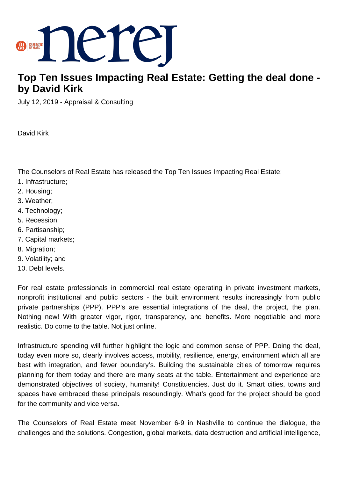

## **Top Ten Issues Impacting Real Estate: Getting the deal done by David Kirk**

July 12, 2019 - Appraisal & Consulting

David Kirk

The Counselors of Real Estate has released the Top Ten Issues Impacting Real Estate:

- 1. Infrastructure;
- 2. Housing;
- 3. Weather;
- 4. Technology;
- 5. Recession;
- 6. Partisanship;
- 7. Capital markets;
- 8. Migration;
- 9. Volatility; and
- 10. Debt levels.

For real estate professionals in commercial real estate operating in private investment markets, nonprofit institutional and public sectors - the built environment results increasingly from public private partnerships (PPP). PPP's are essential integrations of the deal, the project, the plan. Nothing new! With greater vigor, rigor, transparency, and benefits. More negotiable and more realistic. Do come to the table. Not just online.

Infrastructure spending will further highlight the logic and common sense of PPP. Doing the deal, today even more so, clearly involves access, mobility, resilience, energy, environment which all are best with integration, and fewer boundary's. Building the sustainable cities of tomorrow requires planning for them today and there are many seats at the table. Entertainment and experience are demonstrated objectives of society, humanity! Constituencies. Just do it. Smart cities, towns and spaces have embraced these principals resoundingly. What's good for the project should be good for the community and vice versa.

The Counselors of Real Estate meet November 6-9 in Nashville to continue the dialogue, the challenges and the solutions. Congestion, global markets, data destruction and artificial intelligence,